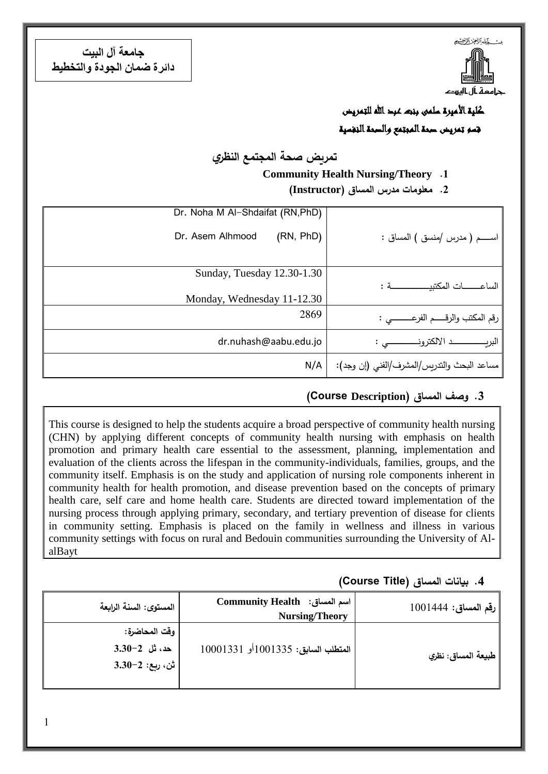

**جامعة آل البيت دائرة ضمان الجودة والتخطيط**

> كلية الأميرة سلمى بنت عبد الله للتمريض قسم تمريض صحة المجتمع والصحة النفسية

**تمريض صحة المجتمع النظري**

#### **Community Health Nursing/Theory .1**

**.2 معلومات مدرس المساق )Instructor)**

|                                             | Dr. Noha M Al-Shdaifat (RN, PhD) |
|---------------------------------------------|----------------------------------|
| اســــــم ( مدرس /منسق ) المساق :           | (RN, PhD)<br>Dr. Asem Alhmood    |
|                                             | Sunday, Tuesday 12.30-1.30       |
|                                             | Monday, Wednesday 11-12.30       |
| رقم المكتب والرقـــــم الفرعــــــــــى :   | 2869                             |
|                                             | dr.nuhash@aabu.edu.jo            |
| مساعد البحث والتدريس/المشرف/الفني (إن وجد): | N/A                              |

#### **.3 وصف المساق )Description Course(**

This course is designed to help the students acquire a broad perspective of community health nursing (CHN) by applying different concepts of community health nursing with emphasis on health promotion and primary health care essential to the assessment, planning, implementation and evaluation of the clients across the lifespan in the community-individuals, families, groups, and the community itself. Emphasis is on the study and application of nursing role components inherent in community health for health promotion, and disease prevention based on the concepts of primary health care, self care and home health care. Students are directed toward implementation of the nursing process through applying primary, secondary, and tertiary prevention of disease for clients in community setting. Emphasis is placed on the family in wellness and illness in various community settings with focus on rural and Bedouin communities surrounding the University of AlalBayt

#### **.4 بيانات المساق )Title Course)**

| رقم المساق: 1001444 | Community Health :أسم المساق<br><b>Nursing/Theory</b> | المستوى: السنة الرابعة |
|---------------------|-------------------------------------------------------|------------------------|
|                     |                                                       | وقت المحاضرة:          |
| طبيعة المساق: نظري  | المتطلب السابق: 1001335أو 10001331                    | حد، ثل 2–3.30          |
|                     |                                                       | ا ش، ربع: 2–3.30       |
|                     |                                                       |                        |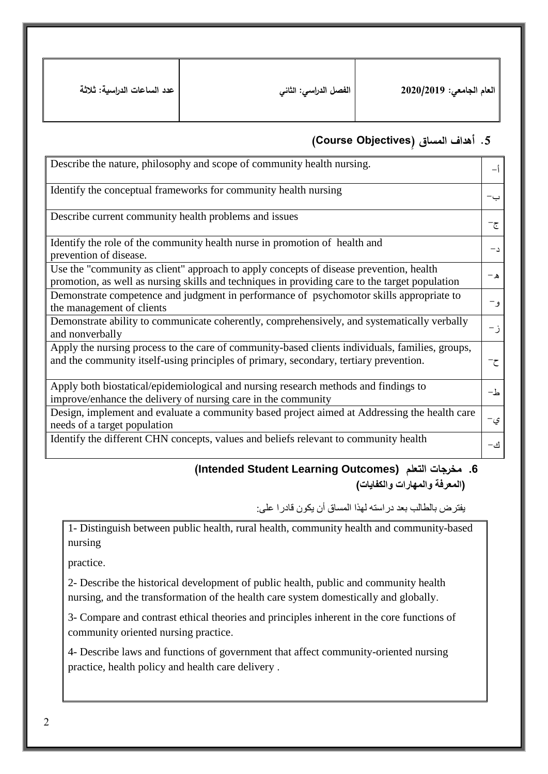| عدد الساعات الدراسية: ثلاثة | . الفصل الدراس <i>ي</i> : الثان <i>ي</i> | العام الجامعي: 2020/2019 |
|-----------------------------|------------------------------------------|--------------------------|
|-----------------------------|------------------------------------------|--------------------------|

#### **.5 أهداف المساق )ِObjectives Course)**

| Describe the nature, philosophy and scope of community health nursing.                                                                                                                   | – ∱  |
|------------------------------------------------------------------------------------------------------------------------------------------------------------------------------------------|------|
| Identify the conceptual frameworks for community health nursing                                                                                                                          | ب-   |
| Describe current community health problems and issues                                                                                                                                    | ج−   |
| Identify the role of the community health nurse in promotion of health and<br>prevention of disease.                                                                                     | $-1$ |
| Use the "community as client" approach to apply concepts of disease prevention, health<br>promotion, as well as nursing skills and techniques in providing care to the target population | ه –  |
| Demonstrate competence and judgment in performance of psychomotor skills appropriate to<br>the management of clients                                                                     | و —  |
| Demonstrate ability to communicate coherently, comprehensively, and systematically verbally<br>and nonverbally                                                                           | ز-   |
| Apply the nursing process to the care of community-based clients individuals, families, groups,<br>and the community itself-using principles of primary, secondary, tertiary prevention. | ح-   |
| Apply both biostatical/epidemiological and nursing research methods and findings to<br>improve/enhance the delivery of nursing care in the community                                     | ط-   |
| Design, implement and evaluate a community based project aimed at Addressing the health care<br>needs of a target population                                                             | ي-   |
| Identify the different CHN concepts, values and beliefs relevant to community health                                                                                                     | اف—  |

#### **(Intended Student Learning Outcomes) التعلم مخرجات .6 )المعرفة والمهارات والكفايات(**

يفترض بالطالب بعد دراسته لهذا المساق أن يكون قادرا على:

1- Distinguish between public health, rural health, community health and community-based nursing

practice.

2- Describe the historical development of public health, public and community health nursing, and the transformation of the health care system domestically and globally.

3- Compare and contrast ethical theories and principles inherent in the core functions of community oriented nursing practice.

4- Describe laws and functions of government that affect community-oriented nursing practice, health policy and health care delivery .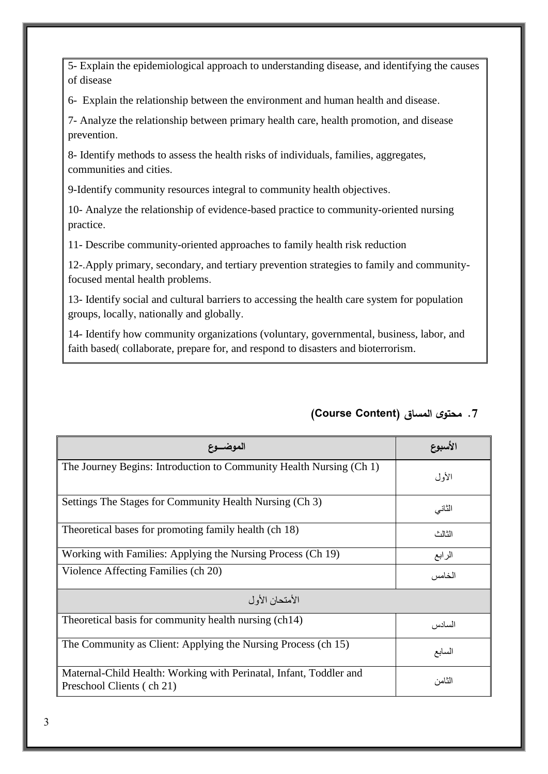| الموضسوع                                                                                        | لاسبوع |  |
|-------------------------------------------------------------------------------------------------|--------|--|
| The Journey Begins: Introduction to Community Health Nursing (Ch 1)                             | الأول  |  |
| Settings The Stages for Community Health Nursing (Ch 3)                                         | الثاني |  |
| Theoretical bases for promoting family health (ch 18)                                           | الثالث |  |
| Working with Families: Applying the Nursing Process (Ch 19)                                     | الرابع |  |
| Violence Affecting Families (ch 20)                                                             | الخامس |  |
| الأمتحان الأول                                                                                  |        |  |
| Theoretical basis for community health nursing (ch14)                                           | السادس |  |
| The Community as Client: Applying the Nursing Process (ch 15)                                   | السابع |  |
| Maternal-Child Health: Working with Perinatal, Infant, Toddler and<br>Preschool Clients (ch 21) | الثامن |  |

#### **.7 محتوى المساق )Content Course)**

groups, locally, nationally and globally.

12-.Apply primary, secondary, and tertiary prevention strategies to family and communityfocused mental health problems.

13- Identify social and cultural barriers to accessing the health care system for population

14- Identify how community organizations (voluntary, governmental, business, labor, and faith based(collaborate, prepare for, and respond to disasters and bioterrorism.

communities and cities. 9-Identify community resources integral to community health objectives.

10- Analyze the relationship of evidence-based practice to community-oriented nursing

8- Identify methods to assess the health risks of individuals, families, aggregates,

11- Describe community-oriented approaches to family health risk reduction

6- Explain the relationship between the environment and human health and disease.

7- Analyze the relationship between primary health care, health promotion, and disease

5- Explain the epidemiological approach to understanding disease, and identifying the causes of disease

prevention.

practice.

 $\overline{3}$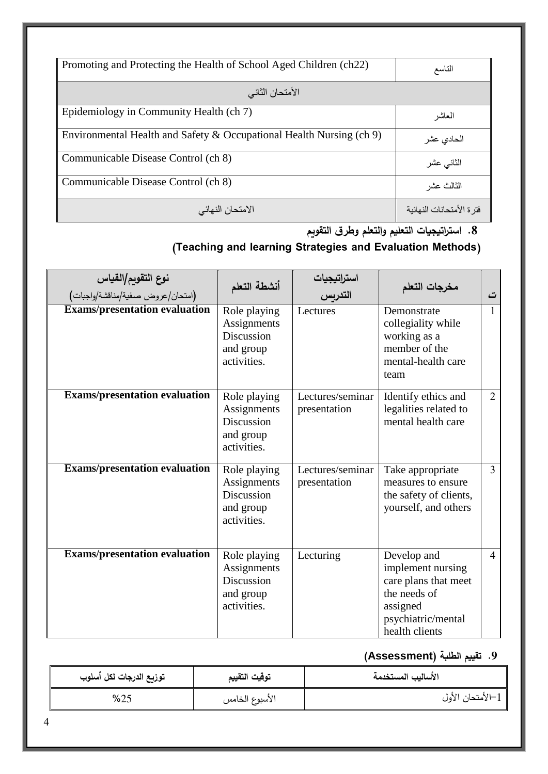| Promoting and Protecting the Health of School Aged Children (ch22)   | التاسع                    |
|----------------------------------------------------------------------|---------------------------|
|                                                                      |                           |
| الأمتحان الثاني                                                      |                           |
| Epidemiology in Community Health (ch 7)                              | العاشر                    |
| Environmental Health and Safety & Occupational Health Nursing (ch 9) | الحادى عشر                |
| Communicable Disease Control (ch 8)                                  | الثانى عشر                |
| Communicable Disease Control (ch 8)                                  | الثالث عشر                |
| الامتحان النهائي                                                     | فتر ة الأمتحانات النهائية |

# **.8 استراتيجيات التعليم والتعلم وطرق التقويم**

## **)Teaching and learning Strategies and Evaluation Methods(**

| نوع التقويم/القياس<br>(امتحان/عروض صفية/مناقشة/واجبات) | أنشطة التعلم                                                                 | استر <u>ا</u> تیجیات<br>التدریس  | مخرجات التعلم                                                                                                                | ت              |
|--------------------------------------------------------|------------------------------------------------------------------------------|----------------------------------|------------------------------------------------------------------------------------------------------------------------------|----------------|
| <b>Exams/presentation evaluation</b>                   | Role playing<br>Assignments<br>Discussion<br>and group<br>activities.        | Lectures                         | Demonstrate<br>collegiality while<br>working as a<br>member of the<br>mental-health care<br>team                             | 1              |
| <b>Exams/presentation evaluation</b>                   | Role playing<br>Assignments<br>Discussion<br>and group<br>activities.        | Lectures/seminar<br>presentation | Identify ethics and<br>legalities related to<br>mental health care                                                           | $\overline{2}$ |
| <b>Exams/presentation evaluation</b>                   | Role playing<br>Assignments<br>Discussion<br>and group<br>activities.        | Lectures/seminar<br>presentation | Take appropriate<br>measures to ensure<br>the safety of clients,<br>yourself, and others                                     | $\overline{3}$ |
| <b>Exams/presentation evaluation</b>                   | Role playing<br>Assignments<br><b>Discussion</b><br>and group<br>activities. | Lecturing                        | Develop and<br>implement nursing<br>care plans that meet<br>the needs of<br>assigned<br>psychiatric/mental<br>health clients | $\overline{4}$ |

# **.9 تقييم الطلبة )Assessment)**

| توزيع الدرجات لكل أسلوب | توقيت التقييم  | الأساليب المستخدمة |
|-------------------------|----------------|--------------------|
| %25                     | الأسبوع الخامس | 1–الأمتحان الأول   |

1